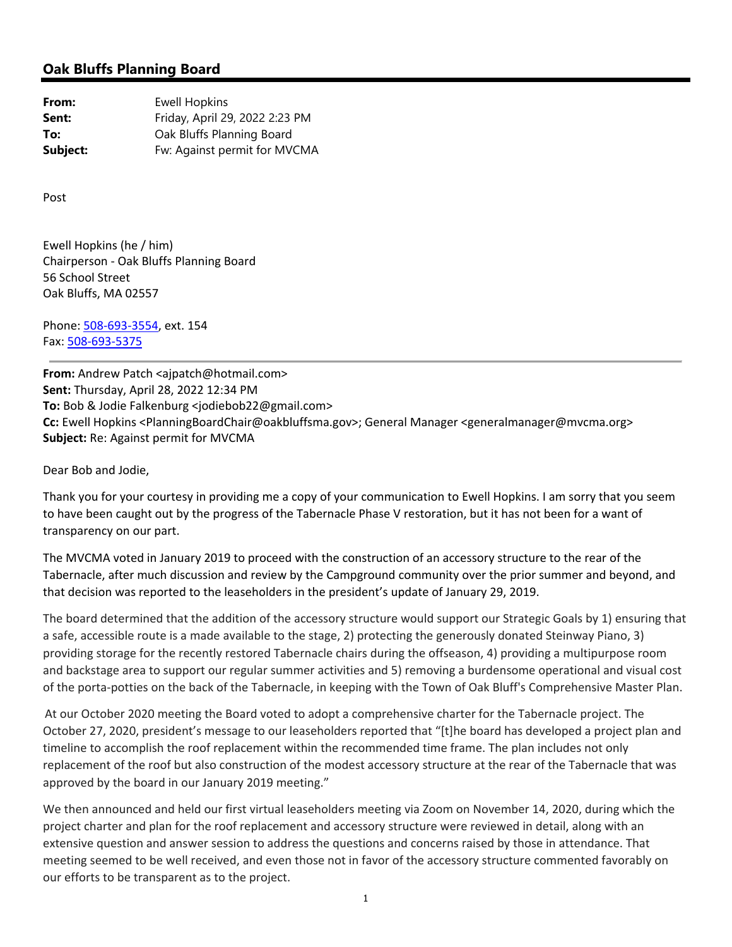## **Oak Bluffs Planning Board**

| From:    | <b>Ewell Hopkins</b>           |
|----------|--------------------------------|
| Sent:    | Friday, April 29, 2022 2:23 PM |
| To:      | Oak Bluffs Planning Board      |
| Subject: | Fw: Against permit for MVCMA   |

Post

Ewell Hopkins (he / him) Chairperson ‐ Oak Bluffs Planning Board 56 School Street Oak Bluffs, MA 02557

Phone: 508‐693‐3554, ext. 154 Fax: 508‐693‐5375

**From:** Andrew Patch <ajpatch@hotmail.com> **Sent:** Thursday, April 28, 2022 12:34 PM **To:** Bob & Jodie Falkenburg <jodiebob22@gmail.com> **Cc:** Ewell Hopkins <PlanningBoardChair@oakbluffsma.gov>; General Manager <generalmanager@mvcma.org> **Subject:** Re: Against permit for MVCMA

Dear Bob and Jodie,

Thank you for your courtesy in providing me a copy of your communication to Ewell Hopkins. I am sorry that you seem to have been caught out by the progress of the Tabernacle Phase V restoration, but it has not been for a want of transparency on our part.

The MVCMA voted in January 2019 to proceed with the construction of an accessory structure to the rear of the Tabernacle, after much discussion and review by the Campground community over the prior summer and beyond, and that decision was reported to the leaseholders in the president's update of January 29, 2019.

The board determined that the addition of the accessory structure would support our Strategic Goals by 1) ensuring that a safe, accessible route is a made available to the stage, 2) protecting the generously donated Steinway Piano, 3) providing storage for the recently restored Tabernacle chairs during the offseason, 4) providing a multipurpose room and backstage area to support our regular summer activities and 5) removing a burdensome operational and visual cost of the porta‐potties on the back of the Tabernacle, in keeping with the Town of Oak Bluff's Comprehensive Master Plan.

At our October 2020 meeting the Board voted to adopt a comprehensive charter for the Tabernacle project. The October 27, 2020, president's message to our leaseholders reported that "[t]he board has developed a project plan and timeline to accomplish the roof replacement within the recommended time frame. The plan includes not only replacement of the roof but also construction of the modest accessory structure at the rear of the Tabernacle that was approved by the board in our January 2019 meeting."

We then announced and held our first virtual leaseholders meeting via Zoom on November 14, 2020, during which the project charter and plan for the roof replacement and accessory structure were reviewed in detail, along with an extensive question and answer session to address the questions and concerns raised by those in attendance. That meeting seemed to be well received, and even those not in favor of the accessory structure commented favorably on our efforts to be transparent as to the project.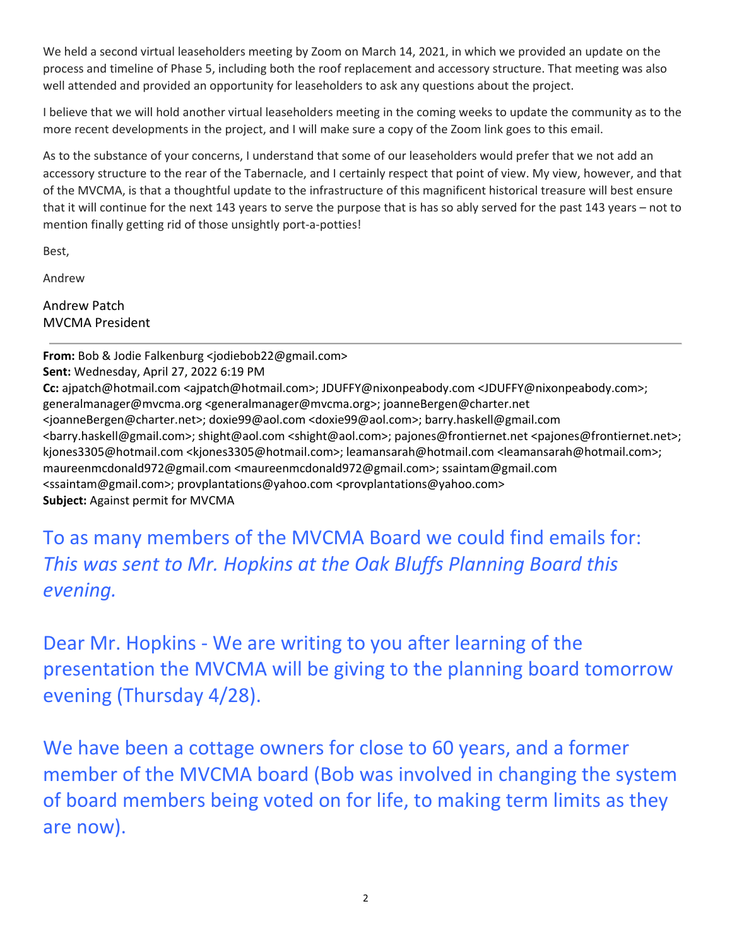We held a second virtual leaseholders meeting by Zoom on March 14, 2021, in which we provided an update on the process and timeline of Phase 5, including both the roof replacement and accessory structure. That meeting was also well attended and provided an opportunity for leaseholders to ask any questions about the project.

I believe that we will hold another virtual leaseholders meeting in the coming weeks to update the community as to the more recent developments in the project, and I will make sure a copy of the Zoom link goes to this email.

As to the substance of your concerns, I understand that some of our leaseholders would prefer that we not add an accessory structure to the rear of the Tabernacle, and I certainly respect that point of view. My view, however, and that of the MVCMA, is that a thoughtful update to the infrastructure of this magnificent historical treasure will best ensure that it will continue for the next 143 years to serve the purpose that is has so ably served for the past 143 years – not to mention finally getting rid of those unsightly port‐a‐potties!

Best,

Andrew

Andrew Patch MVCMA President

**From:** Bob & Jodie Falkenburg <jodiebob22@gmail.com> **Sent:** Wednesday, April 27, 2022 6:19 PM **Cc:** ajpatch@hotmail.com <ajpatch@hotmail.com>; JDUFFY@nixonpeabody.com <JDUFFY@nixonpeabody.com>; generalmanager@mvcma.org <generalmanager@mvcma.org>; joanneBergen@charter.net <joanneBergen@charter.net>; doxie99@aol.com <doxie99@aol.com>; barry.haskell@gmail.com <barry.haskell@gmail.com>; shight@aol.com <shight@aol.com>; pajones@frontiernet.net <pajones@frontiernet.net>; kjones3305@hotmail.com <kjones3305@hotmail.com>; leamansarah@hotmail.com <leamansarah@hotmail.com>; maureenmcdonald972@gmail.com <maureenmcdonald972@gmail.com>; ssaintam@gmail.com <ssaintam@gmail.com>; provplantations@yahoo.com <provplantations@yahoo.com> **Subject:** Against permit for MVCMA

## To as many members of the MVCMA Board we could find emails for: *This was sent to Mr. Hopkins at the Oak Bluffs Planning Board this*  $even$  *inq.*

Dear Mr. Hopkins ‐ We are writing to you after learning of the presentation the MVCMA will be giving to the planning board tomorrow evening (Thursday 4/28).

We have been a cottage owners for close to 60 years, and a former member of the MVCMA board (Bob was involved in changing the system of board members being voted on for life, to making term limits as they are now).